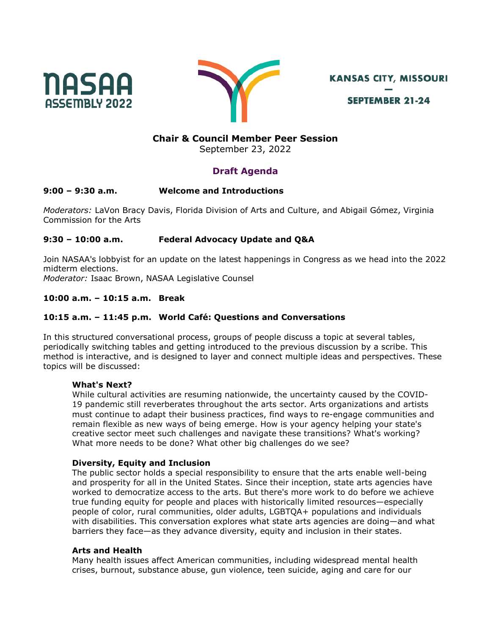



**KANSAS CITY, MISSOURI SEPTEMBER 21-24** 

## **Chair & Council Member Peer Session**

September 23, 2022

# **Draft Agenda**

## **9:00 – 9:30 a.m. Welcome and Introductions**

*Moderators:* LaVon Bracy Davis, Florida Division of Arts and Culture, and Abigail Gómez, Virginia Commission for the Arts

## **9:30 – 10:00 a.m. Federal Advocacy Update and Q&A**

Join NASAA's lobbyist for an update on the latest happenings in Congress as we head into the 2022 midterm elections.

*Moderator:* Isaac Brown, NASAA Legislative Counsel

## **10:00 a.m. – 10:15 a.m. Break**

## **10:15 a.m. – 11:45 p.m. World Café: Questions and Conversations**

In this structured conversational process, groups of people discuss a topic at several tables, periodically switching tables and getting introduced to the previous discussion by a scribe. This method is interactive, and is designed to layer and connect multiple ideas and perspectives. These topics will be discussed:

#### **What's Next?**

While cultural activities are resuming nationwide, the uncertainty caused by the COVID-19 pandemic still reverberates throughout the arts sector. Arts organizations and artists must continue to adapt their business practices, find ways to re-engage communities and remain flexible as new ways of being emerge. How is your agency helping your state's creative sector meet such challenges and navigate these transitions? What's working? What more needs to be done? What other big challenges do we see?

#### **Diversity, Equity and Inclusion**

The public sector holds a special responsibility to ensure that the arts enable well-being and prosperity for all in the United States. Since their inception, state arts agencies have worked to democratize access to the arts. But there's more work to do before we achieve true funding equity for people and places with historically limited resources—especially people of color, rural communities, older adults, LGBTQA+ populations and individuals with disabilities. This conversation explores what state arts agencies are doing—and what barriers they face—as they advance diversity, equity and inclusion in their states.

#### **Arts and Health**

Many health issues affect American communities, including widespread mental health crises, burnout, substance abuse, gun violence, teen suicide, aging and care for our